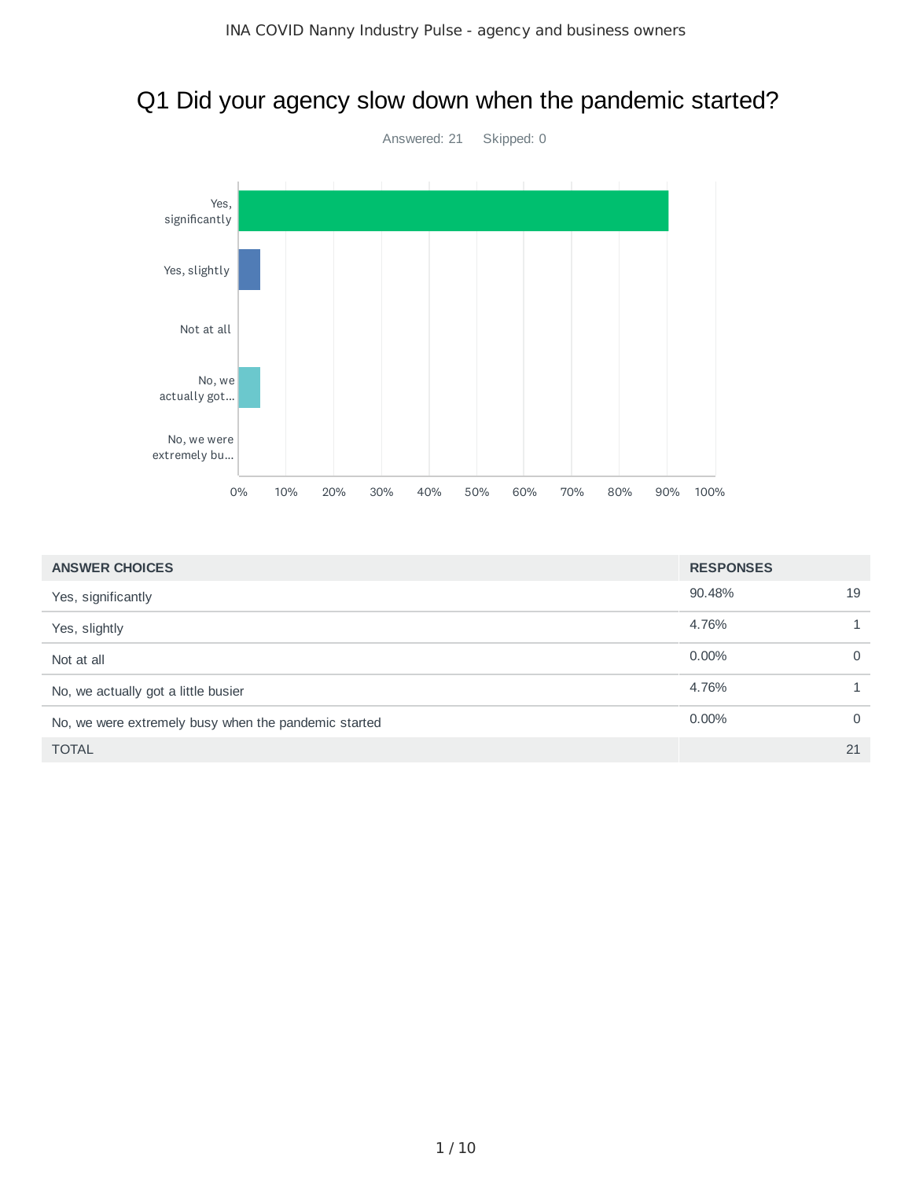# Q1 Did your agency slow down when the pandemic started?



| <b>ANSWER CHOICES</b>                                | <b>RESPONSES</b> |          |
|------------------------------------------------------|------------------|----------|
| Yes, significantly                                   | 90.48%           | 19       |
| Yes, slightly                                        | 4.76%            |          |
| Not at all                                           | $0.00\%$         | $\Omega$ |
| No, we actually got a little busier                  | 4.76%            |          |
| No, we were extremely busy when the pandemic started | 0.00%            | $\Omega$ |
| <b>TOTAL</b>                                         |                  | 21       |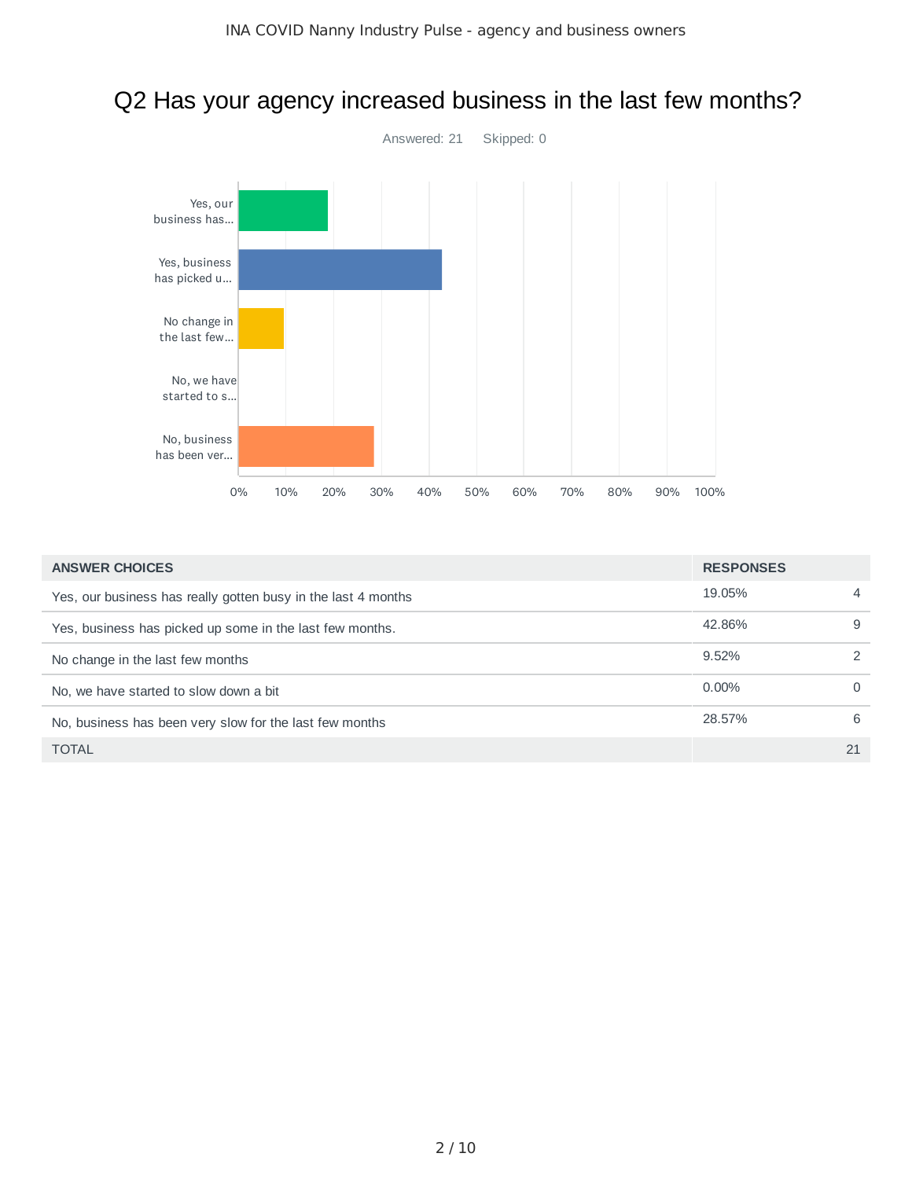#### Q2 Has your agency increased business in the last few months?



| <b>ANSWER CHOICES</b>                                         | <b>RESPONSES</b> |                |
|---------------------------------------------------------------|------------------|----------------|
| Yes, our business has really gotten busy in the last 4 months | 19.05%           | $\overline{4}$ |
| Yes, business has picked up some in the last few months.      | 42.86%           | 9              |
| No change in the last few months                              | 9.52%            | $\mathcal{P}$  |
| No, we have started to slow down a bit                        | $0.00\%$         | $\Omega$       |
| No, business has been very slow for the last few months       | 28.57%           | 6              |
| <b>TOTAL</b>                                                  |                  | 21             |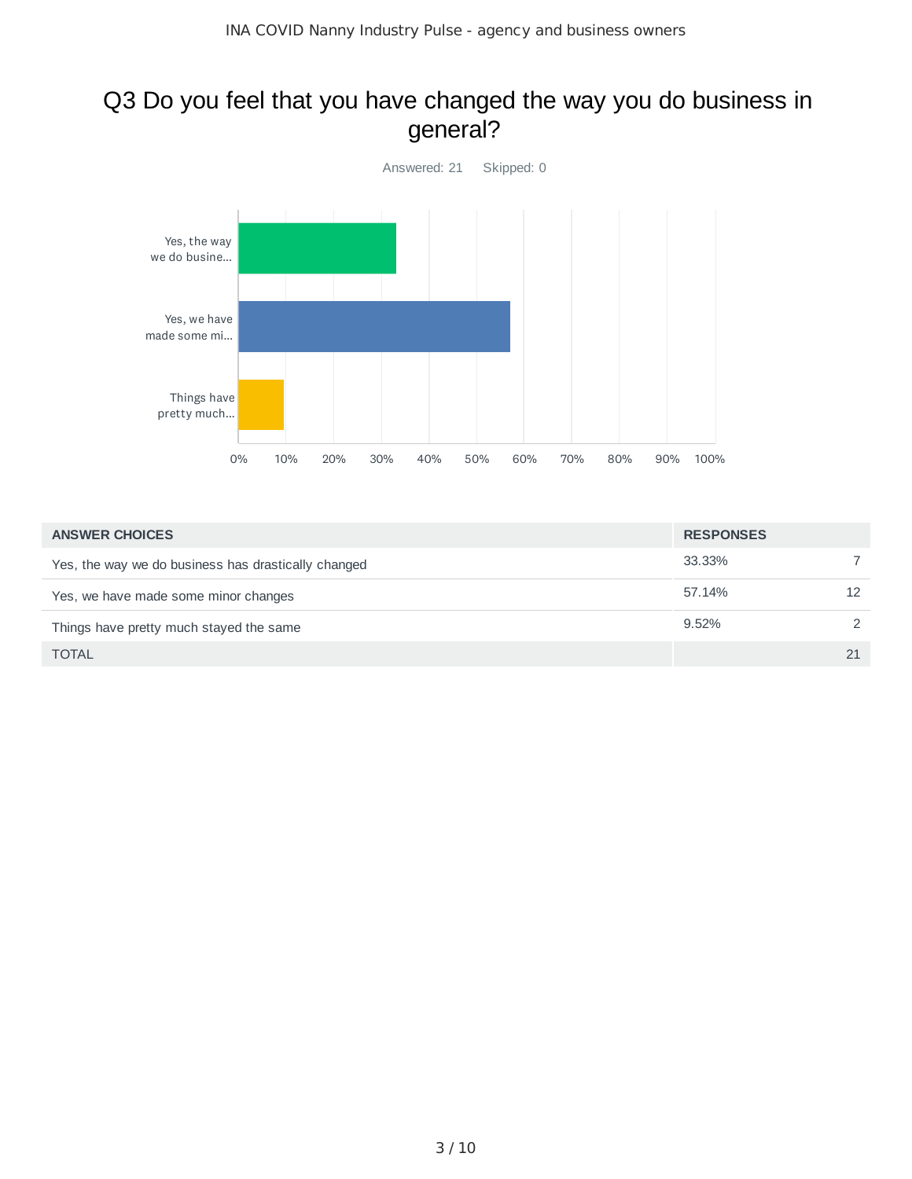#### Q3 Do you feel that you have changed the way you do business in general?



| <b>ANSWER CHOICES</b>                               | <b>RESPONSES</b> |               |
|-----------------------------------------------------|------------------|---------------|
| Yes, the way we do business has drastically changed | 33.33%           |               |
| Yes, we have made some minor changes                | 57.14%           | 12            |
| Things have pretty much stayed the same             | 9.52%            | $\mathcal{P}$ |
| <b>TOTAL</b>                                        |                  | 21            |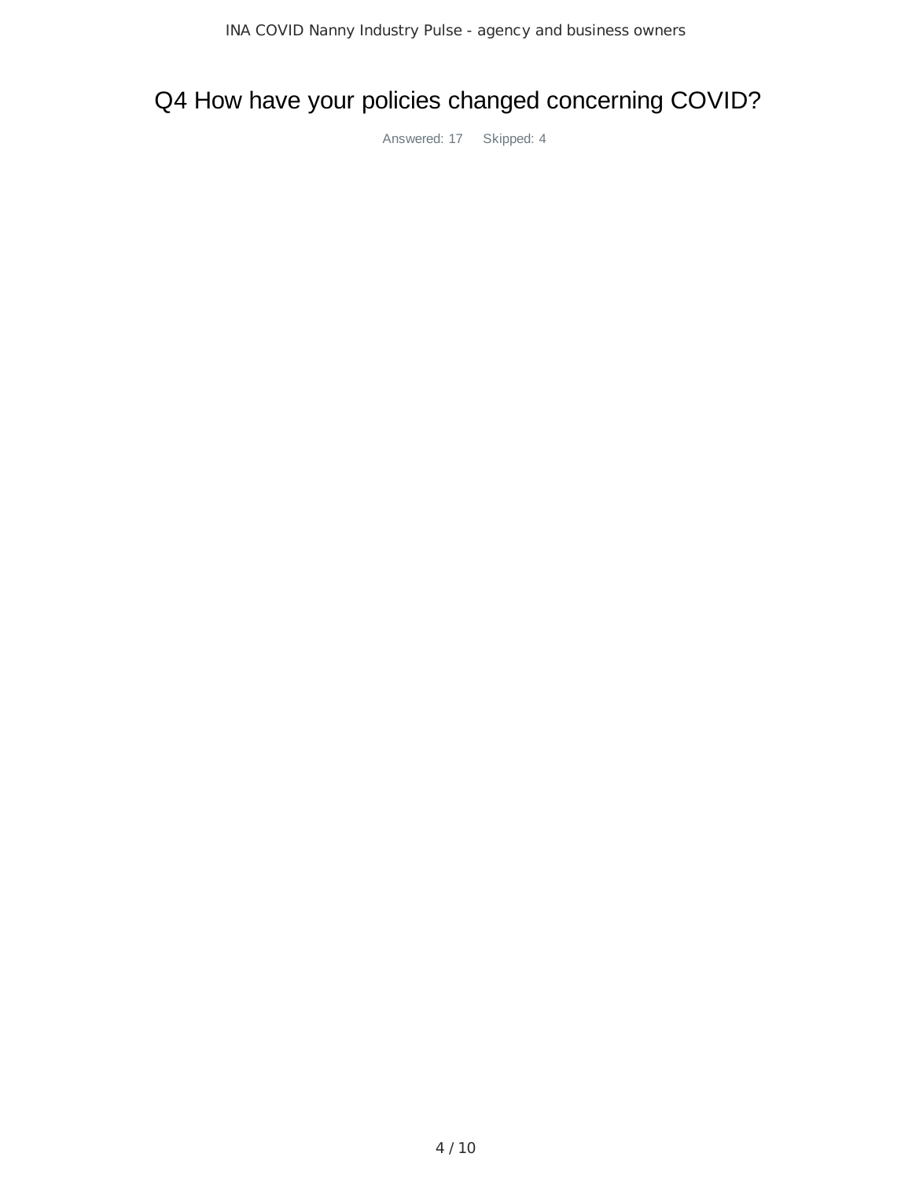# Q4 How have your policies changed concerning COVID?

Answered: 17 Skipped: 4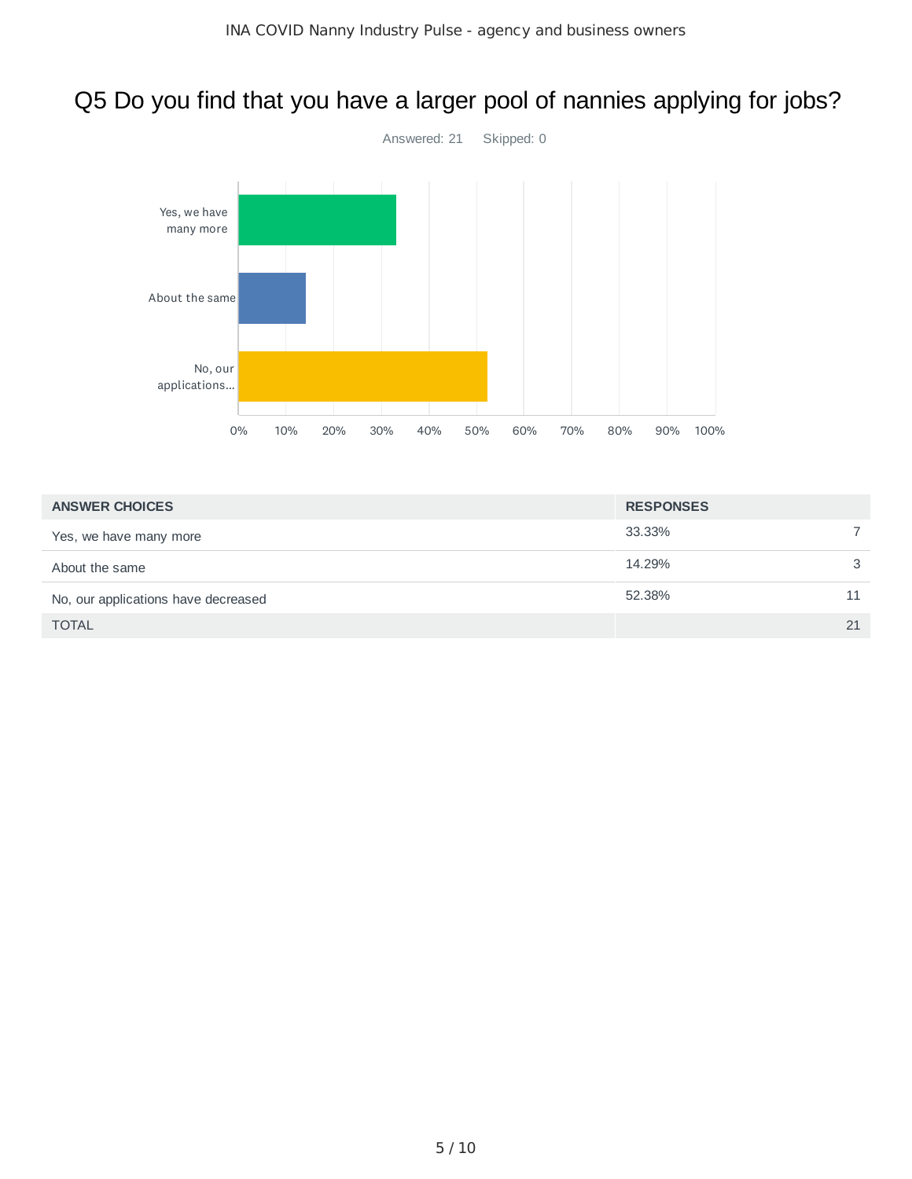## Q5 Do you find that you have a larger pool of nannies applying for jobs?

![](_page_4_Figure_2.jpeg)

| <b>ANSWER CHOICES</b>               | <b>RESPONSES</b> |    |
|-------------------------------------|------------------|----|
| Yes, we have many more              | 33.33%           |    |
| About the same                      | 14.29%           | 3  |
| No, our applications have decreased | 52.38%           | 11 |
| <b>TOTAL</b>                        |                  | 21 |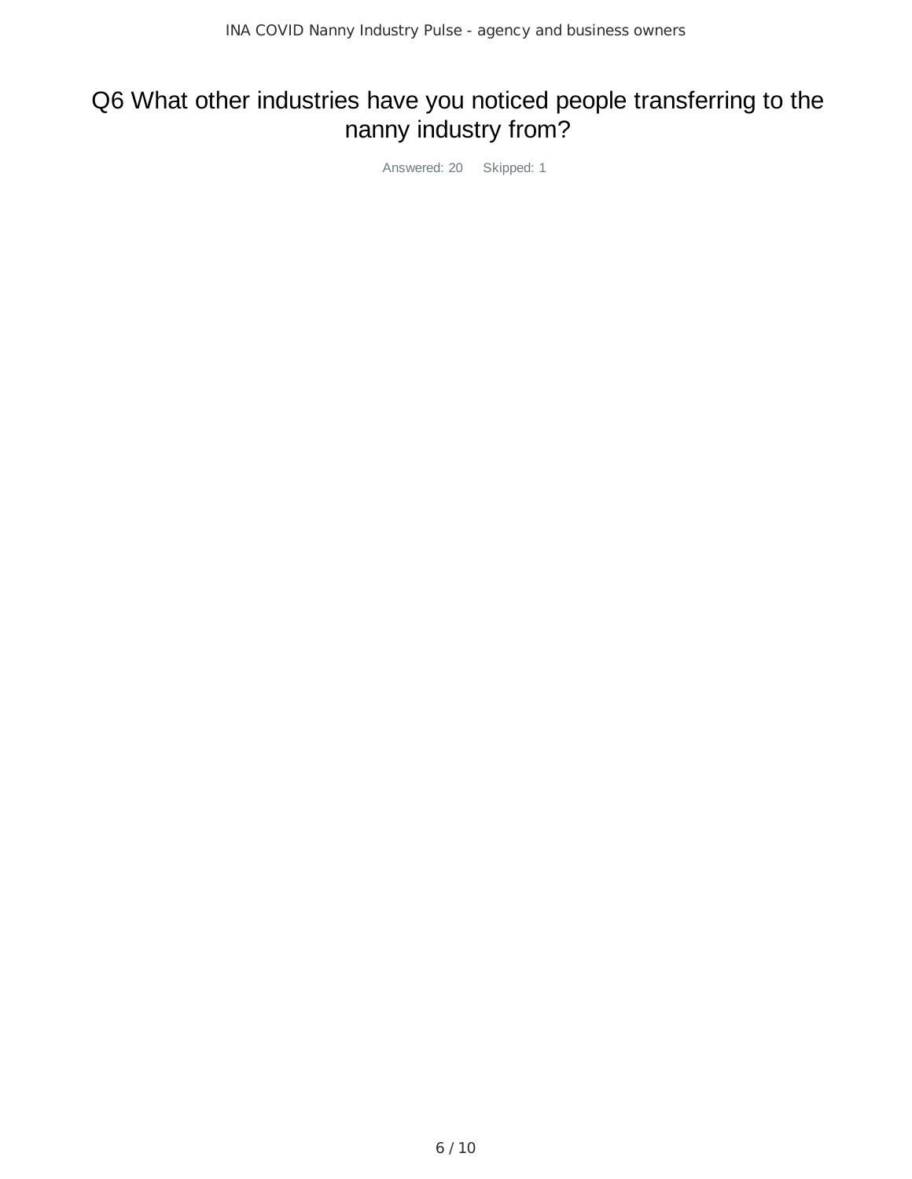# Q6 What other industries have you noticed people transferring to the nanny industry from?

Answered: 20 Skipped: 1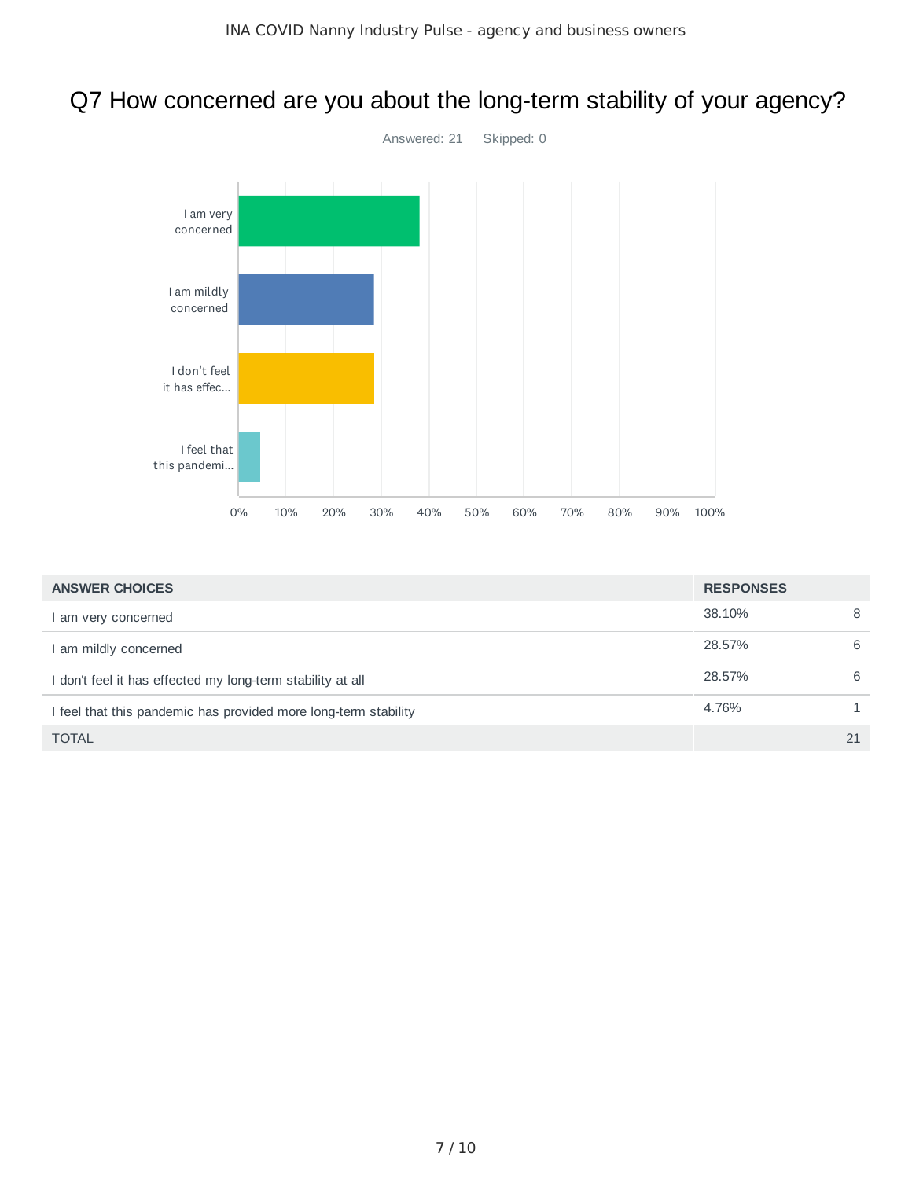# Q7 How concerned are you about the long-term stability of your agency?

![](_page_6_Figure_2.jpeg)

| <b>ANSWER CHOICES</b>                                           | <b>RESPONSES</b> |    |
|-----------------------------------------------------------------|------------------|----|
| I am very concerned                                             | 38.10%           | 8  |
| I am mildly concerned                                           | 28.57%           | 6  |
| I don't feel it has effected my long-term stability at all      | 28.57%           | 6  |
| I feel that this pandemic has provided more long-term stability | 4.76%            |    |
| <b>TOTAL</b>                                                    |                  | 21 |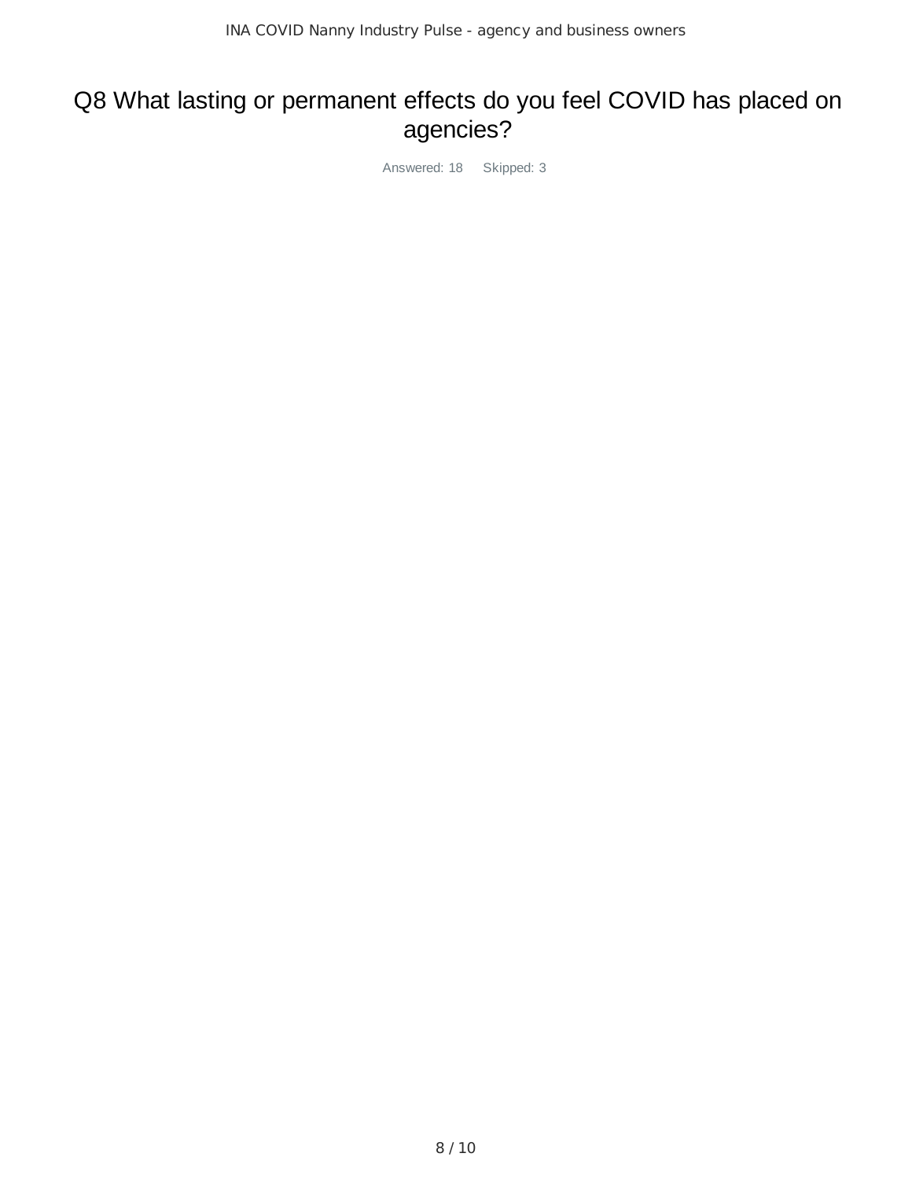#### Q8 What lasting or permanent effects do you feel COVID has placed on agencies?

Answered: 18 Skipped: 3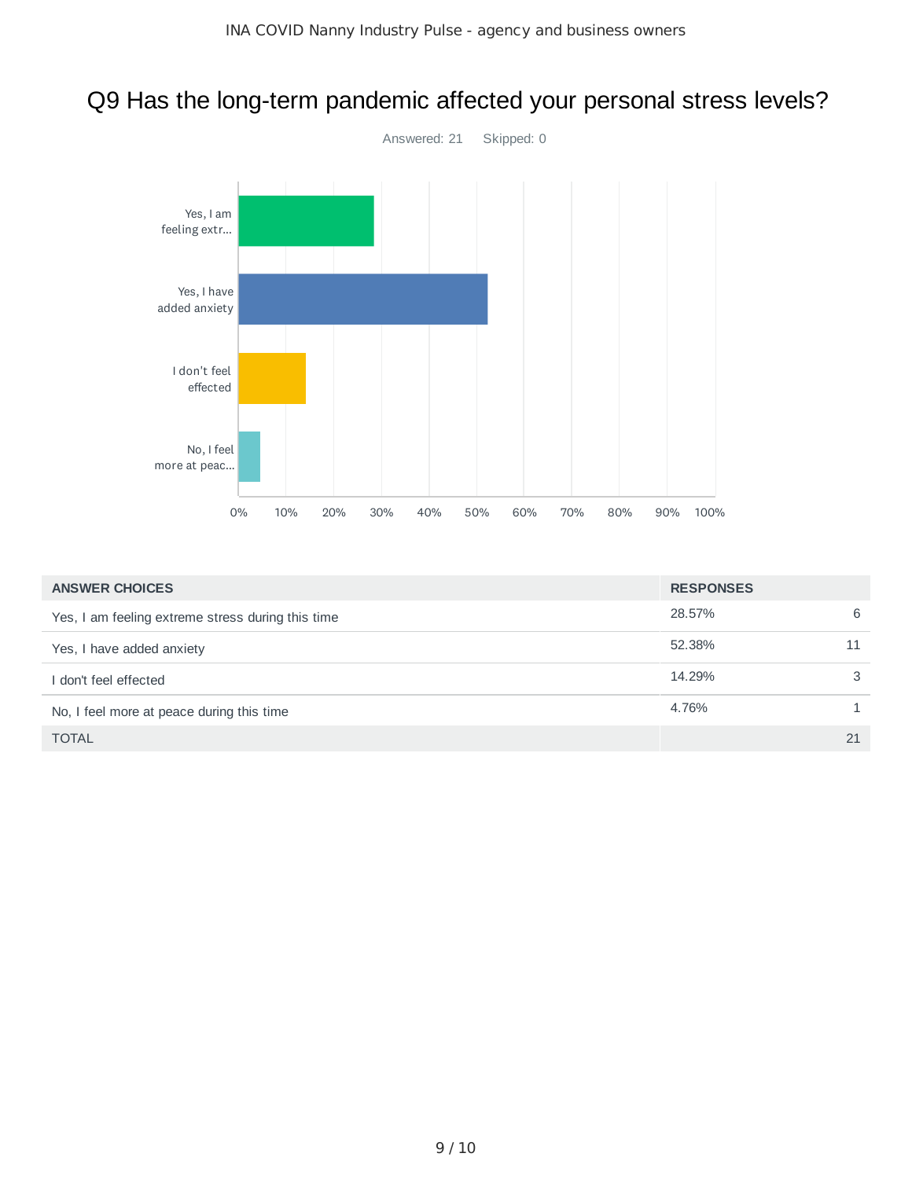## Q9 Has the long-term pandemic affected your personal stress levels?

![](_page_8_Figure_2.jpeg)

| <b>ANSWER CHOICES</b>                             | <b>RESPONSES</b> |    |
|---------------------------------------------------|------------------|----|
| Yes, I am feeling extreme stress during this time | 28.57%           | 6  |
| Yes, I have added anxiety                         | 52.38%           | 11 |
| I don't feel effected                             | 14.29%           | 3  |
| No, I feel more at peace during this time         | 4.76%            |    |
| <b>TOTAL</b>                                      |                  | 21 |